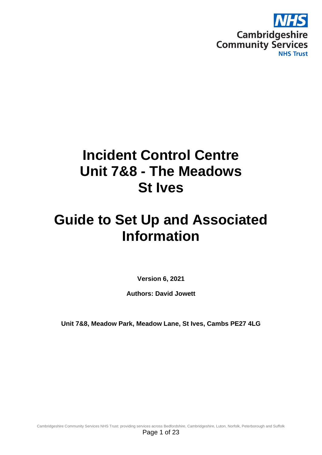

# **Incident Control Centre Unit 7&8 - The Meadows St Ives**

# **Guide to Set Up and Associated Information**

**Version 6, 2021**

**Authors: David Jowett**

**Unit 7&8, Meadow Park, Meadow Lane, St Ives, Cambs PE27 4LG**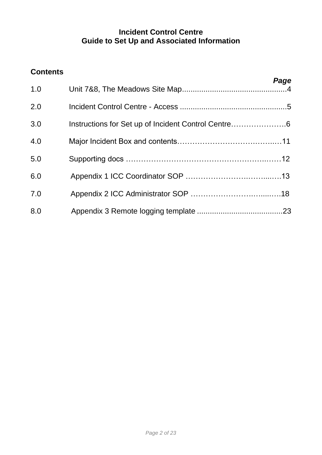# **Incident Control Centre Guide to Set Up and Associated Information**

# **Contents**

| Page |                                                     | 1.0 |
|------|-----------------------------------------------------|-----|
|      |                                                     | 2.0 |
|      | Instructions for Set up of Incident Control Centre6 | 3.0 |
|      |                                                     | 4.0 |
|      |                                                     | 5.0 |
|      |                                                     | 6.0 |
|      |                                                     | 7.0 |
|      |                                                     | 8.0 |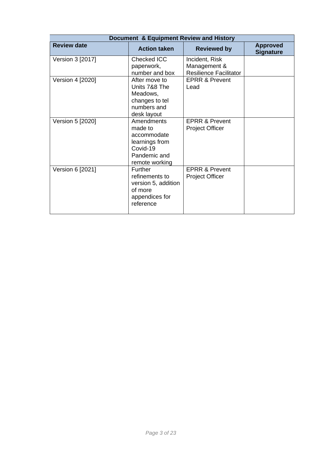|                    | Document & Equipment Review and History                                                              |                                                                 |                                     |  |  |  |  |  |  |
|--------------------|------------------------------------------------------------------------------------------------------|-----------------------------------------------------------------|-------------------------------------|--|--|--|--|--|--|
| <b>Review date</b> | <b>Action taken</b><br><b>Reviewed by</b>                                                            |                                                                 | <b>Approved</b><br><b>Signature</b> |  |  |  |  |  |  |
| Version 3 [2017]   | Checked ICC<br>paperwork,<br>number and box                                                          | Incident, Risk<br>Management &<br><b>Resilience Facilitator</b> |                                     |  |  |  |  |  |  |
| Version 4 [2020]   | After move to<br>Units 7&8 The<br>Meadows,<br>changes to tel<br>numbers and<br>desk layout           | <b>EPRR &amp; Prevent</b><br>Lead                               |                                     |  |  |  |  |  |  |
| Version 5 [2020]   | Amendments<br>made to<br>accommodate<br>learnings from<br>Covid-19<br>Pandemic and<br>remote working | <b>EPRR &amp; Prevent</b><br><b>Project Officer</b>             |                                     |  |  |  |  |  |  |
| Version 6 [2021]   | <b>Further</b><br>refinements to<br>version 5, addition<br>of more<br>appendices for<br>reference    | <b>EPRR &amp; Prevent</b><br><b>Project Officer</b>             |                                     |  |  |  |  |  |  |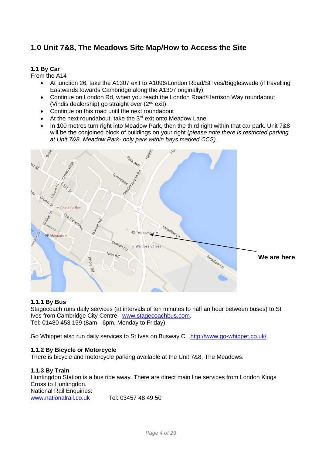# **1.0 Unit 7&8, The Meadows Site Map/How to Access the Site**

## **1.1 By Car**

From the A14

- At junction 26, take the A1307 exit to A1096/London Road/St Ives/Biggleswade (if travelling Eastwards towards Cambridge along the A1307 originally)
- Continue on London Rd, when you reach the London Road/Harrison Way roundabout (Vindis dealership) go straight over (2nd exit)
- Continue on this road until the next roundabout
- At the next roundabout, take the  $3^{rd}$  exit onto Meadow Lane.
- In 100 metres turn right into Meadow Park, then the third right within that car park. Unit 7&8 will be the conjoined block of buildings on your right (*please note there is restricted parking at Unit 7&8, Meadow Park- only park within bays marked CCS).*



#### **1.1.1 By Bus**

Stagecoach runs daily services (at intervals of ten minutes to half an hour between buses) to St Ives from Cambridge City Centre. [www.stagecoachbus.com.](http://www.stagecoachbus.com/) Tel: 01480 453 159 (8am - 6pm, Monday to Friday)

Go Whippet also run daily services to St Ives on Busway C. [http://www.go-whippet.co.uk/.](http://www.go-whippet.co.uk/)

#### **1.1.2 By Bicycle or Motorcycle**

There is bicycle and motorcycle parking available at the Unit 7&8, The Meadows.

#### **1.1.3 By Train**

Huntingdon Station is a bus ride away. There are direct main line services from London Kings Cross to Huntingdon. National Rail Enquiries:

[www.nationalrail.co.uk](http://www.nationalrail.co.uk/) Tel: 03457 48 49 50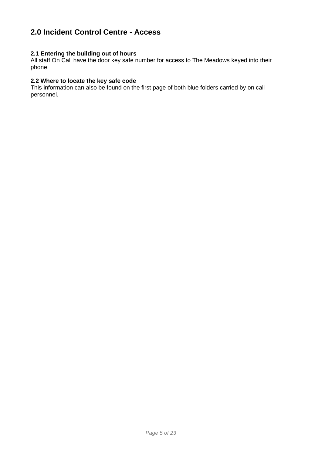# **2.0 Incident Control Centre - Access**

### **2.1 Entering the building out of hours**

All staff On Call have the door key safe number for access to The Meadows keyed into their phone.

#### **2.2 Where to locate the key safe code**

This information can also be found on the first page of both blue folders carried by on call personnel.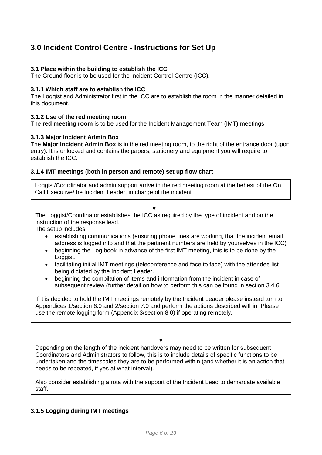# **3.0 Incident Control Centre - Instructions for Set Up**

### **3.1 Place within the building to establish the ICC**

The Ground floor is to be used for the Incident Control Centre (ICC).

#### **3.1.1 Which staff are to establish the ICC**

The Loggist and Administrator first in the ICC are to establish the room in the manner detailed in this document.

#### **3.1.2 Use of the red meeting room**

The **red meeting room** is to be used for the Incident Management Team (IMT) meetings.

#### **3.1.3 Major Incident Admin Box**

The **Major Incident Admin Box** is in the red meeting room, to the right of the entrance door (upon entry). It is unlocked and contains the papers, stationery and equipment you will require to establish the ICC.

#### **3.1.4 IMT meetings (both in person and remote) set up flow chart**

Loggist/Coordinator and admin support arrive in the red meeting room at the behest of the On Call Executive/the Incident Leader, in charge of the incident

The Loggist/Coordinator establishes the ICC as required by the type of incident and on the instruction of the response lead.

The setup includes;

- establishing communications (ensuring phone lines are working, that the incident email address is logged into and that the pertinent numbers are held by yourselves in the ICC)
- beginning the Log book in advance of the first IMT meeting, this is to be done by the Loggist.
- facilitating initial IMT meetings (teleconference and face to face) with the attendee list being dictated by the Incident Leader.
- beginning the compilation of items and information from the incident in case of subsequent review (further detail on how to perform this can be found in section 3.4.6

If it is decided to hold the IMT meetings remotely by the Incident Leader please instead turn to Appendices 1/section 6.0 and 2/section 7.0 and perform the actions described within. Please use the remote logging form (Appendix 3/section 8.0) if operating remotely.

Depending on the length of the incident handovers may need to be written for subsequent Coordinators and Administrators to follow, this is to include details of specific functions to be undertaken and the timescales they are to be performed within (and whether it is an action that needs to be repeated, if yes at what interval).

Also consider establishing a rota with the support of the Incident Lead to demarcate available staff.

#### **3.1.5 Logging during IMT meetings**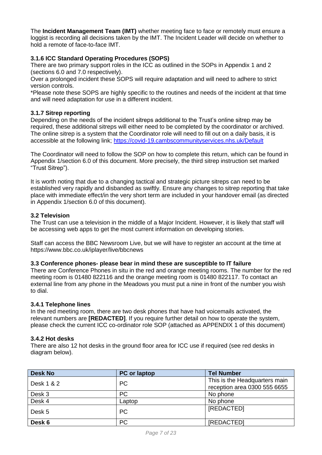The **Incident Management Team (IMT)** whether meeting face to face or remotely must ensure a loggist is recording all decisions taken by the IMT. The Incident Leader will decide on whether to hold a remote of face-to-face IMT.

## **3.1.6 ICC Standard Operating Procedures (SOPS)**

There are two primary support roles in the ICC as outlined in the SOPs in Appendix 1 and 2 (sections 6.0 and 7.0 respectively).

Over a prolonged incident these SOPS will require adaptation and will need to adhere to strict version controls.

\*Please note these SOPS are highly specific to the routines and needs of the incident at that time and will need adaptation for use in a different incident.

#### **3.1.7 Sitrep reporting**

Depending on the needs of the incident sitreps additional to the Trust's online sitrep may be required, these additional sitreps will either need to be completed by the coordinator or archived. The online sitrep is a system that the Coordinator role will need to fill out on a daily basis, it is accessible at the following link;<https://covid-19.cambscommunityservices.nhs.uk/Default>

The Coordinator will need to follow the SOP on how to complete this return, which can be found in Appendix 1/section 6.0 of this document. More precisely, the third sitrep instruction set marked "Trust Sitrep").

It is worth noting that due to a changing tactical and strategic picture sitreps can need to be established very rapidly and disbanded as swiftly. Ensure any changes to sitrep reporting that take place with immediate effect/in the very short term are included in your handover email (as directed in Appendix 1/section 6.0 of this document).

#### **3.2 Television**

The Trust can use a television in the middle of a Major Incident. However, it is likely that staff will be accessing web apps to get the most current information on developing stories.

Staff can access the BBC Newsroom Live, but we will have to register an account at the time at https://www.bbc.co.uk/iplayer/live/bbcnews

#### **3.3 Conference phones- please bear in mind these are susceptible to IT failure**

There are Conference Phones in situ in the red and orange meeting rooms. The number for the red meeting room is 01480 822116 and the orange meeting room is 01480 822117. To contact an external line from any phone in the Meadows you must put a nine in front of the number you wish to dial.

#### **3.4.1 Telephone lines**

In the red meeting room, there are two desk phones that have had voicemails activated, the relevant numbers are **[REDACTED]**. If you require further detail on how to operate the system, please check the current ICC co-ordinator role SOP (attached as APPENDIX 1 of this document)

#### **3.4.2 Hot desks**

There are also 12 hot desks in the ground floor area for ICC use if required (see red desks in diagram below).

| <b>Desk No</b> | <b>PC</b> or laptop | <b>Tel Number</b>                                             |
|----------------|---------------------|---------------------------------------------------------------|
| Desk 1 & 2     | <b>PC</b>           | This is the Headquarters main<br>reception area 0300 555 6655 |
| Desk 3         | <b>PC</b>           | No phone                                                      |
| Desk 4         | Laptop              | No phone                                                      |
| Desk 5         | <b>PC</b>           | [REDACTED]                                                    |
| Desk 6         | <b>PC</b>           | [REDACTED]                                                    |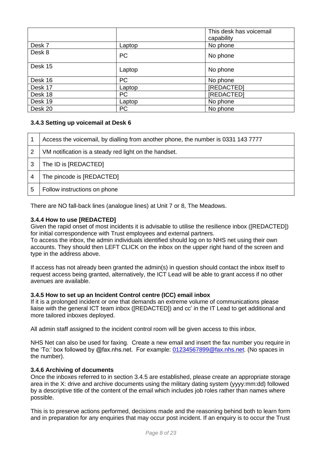|         |           | This desk has voicemail<br>capability |
|---------|-----------|---------------------------------------|
| Desk 7  | Laptop    | No phone                              |
| Desk 8  | <b>PC</b> | No phone                              |
| Desk 15 | Laptop    | No phone                              |
| Desk 16 | <b>PC</b> | No phone                              |
| Desk 17 | Laptop    | [REDACTED]                            |
| Desk 18 | PC        | [REDACTED]                            |
| Desk 19 | Laptop    | No phone                              |
| Desk 20 | <b>PC</b> | No phone                              |

# **3.4.3 Setting up voicemail at Desk 6**

|   | Access the voicemail, by dialling from another phone, the number is 0331 143 7777 |
|---|-----------------------------------------------------------------------------------|
| 2 | VM notification is a steady red light on the handset.                             |
| 3 | The ID is [REDACTED]                                                              |
|   | The pincode is [REDACTED]                                                         |
| 5 | Follow instructions on phone                                                      |

There are NO fall-back lines (analogue lines) at Unit 7 or 8, The Meadows.

## **3.4.4 How to use [REDACTED]**

Given the rapid onset of most incidents it is advisable to utilise the resilience inbox ([REDACTED]) for initial correspondence with Trust employees and external partners.

To access the inbox, the admin individuals identified should log on to NHS net using their own accounts. They should then LEFT CLICK on the inbox on the upper right hand of the screen and type in the address above.

If access has not already been granted the admin(s) in question should contact the inbox itself to request access being granted, alternatively, the ICT Lead will be able to grant access if no other avenues are available.

#### **3.4.5 How to set up an Incident Control centre (ICC) email inbox**

If it is a prolonged incident or one that demands an extreme volume of communications please liaise with the general ICT team inbox ([REDACTED]) and cc' in the IT Lead to get additional and more tailored inboxes deployed.

All admin staff assigned to the incident control room will be given access to this inbox.

NHS Net can also be used for faxing. Create a new email and insert the fax number you require in the 'To:' box followed by @fax.nhs.net. For example: [01234567899@fax.nhs.net.](mailto:01234567899@fax.nhs.net) (No spaces in the number).

#### **3.4.6 Archiving of documents**

Once the inboxes referred to in section 3.4.5 are established, please create an appropriate storage area in the X: drive and archive documents using the military dating system (yyyy:mm:dd) followed by a descriptive title of the content of the email which includes job roles rather than names where possible.

This is to preserve actions performed, decisions made and the reasoning behind both to learn form and in preparation for any enquiries that may occur post incident. If an enquiry is to occur the Trust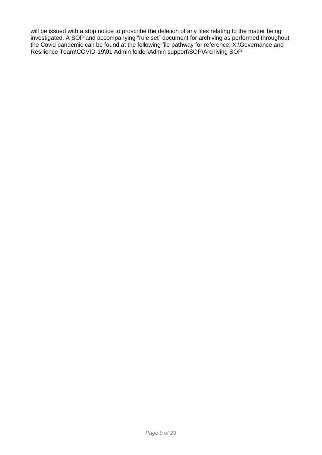will be issued with a stop notice to proscribe the deletion of any files relating to the matter being investigated. A SOP and accompanying "rule set" document for archiving as performed throughout the Covid pandemic can be found at the following file pathway for reference; X:\Governance and Resilience Team\COVID-19\01 Admin folder\Admin support\SOP\Archiving SOP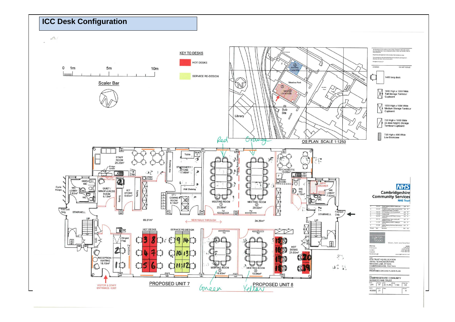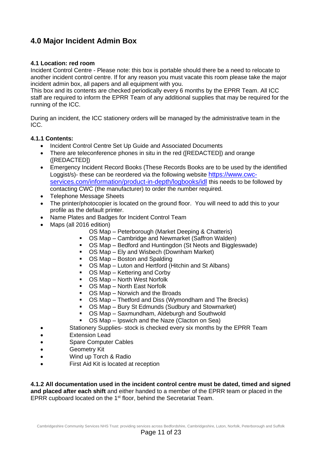# **4.0 Major Incident Admin Box**

### **4.1 Location: red room**

Incident Control Centre - Please note: this box is portable should there be a need to relocate to another incident control centre. If for any reason you must vacate this room please take the major incident admin box, all papers and all equipment with you.

This box and its contents are checked periodically every 6 months by the EPRR Team. All ICC staff are required to inform the EPRR Team of any additional supplies that may be required for the running of the ICC.

During an incident, the ICC stationery orders will be managed by the administrative team in the ICC.

#### **4.1.1 Contents:**

- Incident Control Centre Set Up Guide and Associated Documents
- There are teleconference phones in situ in the red ([REDACTED]) and orange ([REDACTED])
- Emergency Incident Record Books (These Records Books are to be used by the identified Loggist/s)- these can be reordered via the following website [https://www.cwc](https://www.cwc-services.com/information/product-in-depth/logbooks/idl)[services.com/information/product-in-depth/logbooks/idl](https://www.cwc-services.com/information/product-in-depth/logbooks/idl) this needs to be followed by contacting CWC (the manufacturer) to order the number required.
- Telephone Message Sheets
- The printer/photocopier is located on the ground floor. You will need to add this to your profile as the default printer.
- Name Plates and Badges for Incident Control Team
- Maps (all 2016 edition)
	- OS Map Peterborough (Market Deeping & Chatteris)
	- OS Map Cambridge and Newmarket (Saffron Walden)
	- OS Map Bedford and Huntingdon (St Neots and Biggleswade)
	- OS Map Ely and Wisbech (Downham Market)
	- OS Map Boston and Spalding
	- OS Map Luton and Hertford (Hitchin and St Albans)
	- OS Map Kettering and Corby
	- OS Map North West Norfolk
	- OS Map North East Norfolk
	- OS Map Norwich and the Broads
	- OS Map Thetford and Diss (Wymondham and The Brecks)
	- OS Map Bury St Edmunds (Sudbury and Stowmarket)
	- OS Map Saxmundham, Aldeburgh and Southwold
	- OS Map Ipswich and the Naze (Clacton on Sea)
- Stationery Supplies- stock is checked every six months by the EPRR Team
- Extension Lead
- Spare Computer Cables
- Geometry Kit
- Wind up Torch & Radio
- First Aid Kit is located at reception

**4.1.2 All documentation used in the incident control centre must be dated, timed and signed and placed after each shift** and either handed to a member of the EPRR team or placed in the EPRR cupboard located on the 1<sup>st</sup> floor, behind the Secretariat Team.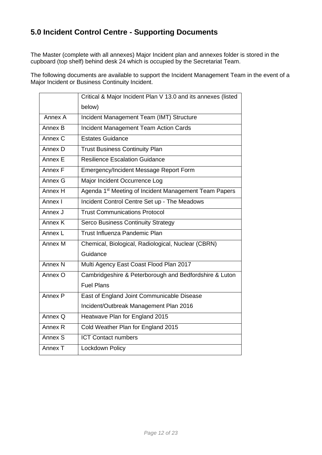# **5.0 Incident Control Centre - Supporting Documents**

The Master (complete with all annexes) Major Incident plan and annexes folder is stored in the cupboard (top shelf) behind desk 24 which is occupied by the Secretariat Team.

The following documents are available to support the Incident Management Team in the event of a Major Incident or Business Continuity Incident.

|                    | Critical & Major Incident Plan V 13.0 and its annexes (listed     |
|--------------------|-------------------------------------------------------------------|
|                    | below)                                                            |
| Annex A            | Incident Management Team (IMT) Structure                          |
| Annex B            | <b>Incident Management Team Action Cards</b>                      |
| Annex C            | <b>Estates Guidance</b>                                           |
| Annex D            | <b>Trust Business Continuity Plan</b>                             |
| Annex E            | <b>Resilience Escalation Guidance</b>                             |
| Annex F            | Emergency/Incident Message Report Form                            |
| Annex G            | Major Incident Occurrence Log                                     |
| Annex H            | Agenda 1 <sup>st</sup> Meeting of Incident Management Team Papers |
| Annex I            | Incident Control Centre Set up - The Meadows                      |
| Annex J            | <b>Trust Communications Protocol</b>                              |
| Annex K            | <b>Serco Business Continuity Strategy</b>                         |
| Annex L            | Trust Influenza Pandemic Plan                                     |
| Annex M            | Chemical, Biological, Radiological, Nuclear (CBRN)                |
|                    | Guidance                                                          |
| Annex N            | Multi Agency East Coast Flood Plan 2017                           |
| Annex O            | Cambridgeshire & Peterborough and Bedfordshire & Luton            |
|                    | <b>Fuel Plans</b>                                                 |
| Annex P            | East of England Joint Communicable Disease                        |
|                    | Incident/Outbreak Management Plan 2016                            |
| Annex Q            | Heatwave Plan for England 2015                                    |
| Annex <sub>R</sub> | Cold Weather Plan for England 2015                                |
| Annex S            | <b>ICT Contact numbers</b>                                        |
| Annex T            | Lockdown Policy                                                   |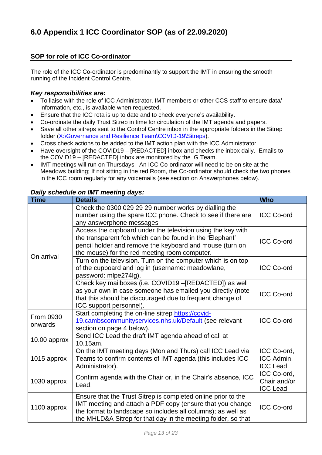# **SOP for role of ICC Co-ordinator**

The role of the ICC Co-ordinator is predominantly to support the IMT in ensuring the smooth running of the Incident Control Centre.

## *Key responsibilities are:*

- To liaise with the role of ICC Administrator, IMT members or other CCS staff to ensure data/ information, etc., is available when requested.
- Ensure that the ICC rota is up to date and to check everyone's availability.
- Co-ordinate the daily Trust Sitrep in time for circulation of the IMT agenda and papers.
- Save all other sitreps sent to the Control Centre inbox in the appropriate folders in the Sitrep folder (X:\Governance [and Resilience Team\COVID-19\Sitreps\)](file://///ccs.nhs.uk/CCS_Data/Shared/CCS/Projects/Governance%20and%20Resilience%20Team/COVID-19/Sitreps).
- Cross check actions to be added to the IMT action plan with the ICC Administrator.
- Have oversight of the COVID19 [REDACTED] inbox and checks the inbox daily. Emails to the COVID19 – [REDACTED] inbox are monitored by the IG Team.
- IMT meetings will run on Thursdays. An ICC Co-ordinator will need to be on site at the Meadows building; If not sitting in the red Room, the Co-ordinator should check the two phones in the ICC room regularly for any voicemails (see section on Answerphones below).

## *Daily schedule on IMT meeting days:*

| <b>Time</b>          | <b>Details</b>                                                                                                                                                                                                                                              | <b>Who</b>                                     |
|----------------------|-------------------------------------------------------------------------------------------------------------------------------------------------------------------------------------------------------------------------------------------------------------|------------------------------------------------|
|                      | Check the 0300 029 29 29 number works by dialling the<br>number using the spare ICC phone. Check to see if there are<br>any answerphone messages                                                                                                            | <b>ICC Co-ord</b>                              |
|                      | Access the cupboard under the television using the key with<br>the transparent fob which can be found in the 'Elephant'<br>pencil holder and remove the keyboard and mouse (turn on<br>the mouse) for the red meeting room computer.                        | <b>ICC Co-ord</b>                              |
| On arrival           | Turn on the television. Turn on the computer which is on top<br>of the cupboard and log in (username: meadowlane,<br>password: mlpe274lg).                                                                                                                  | <b>ICC Co-ord</b>                              |
|                      | Check key mailboxes (i.e. COVID19 -[REDACTED]) as well<br>as your own in case someone has emailed you directly (note<br>that this should be discouraged due to frequent change of<br>ICC support personnel).                                                | <b>ICC Co-ord</b>                              |
| From 0930<br>onwards | Start completing the on-line sitrep https://covid-<br>19.cambscommunityservices.nhs.uk/Default (see relevant<br>section on page 4 below).                                                                                                                   | <b>ICC Co-ord</b>                              |
| 10.00 approx         | Send ICC Lead the draft IMT agenda ahead of call at<br>10.15am.                                                                                                                                                                                             |                                                |
| 1015 approx          | On the IMT meeting days (Mon and Thurs) call ICC Lead via<br>Teams to confirm contents of IMT agenda (this includes ICC<br>Administrator).                                                                                                                  | ICC Co-ord,<br>ICC Admin,<br><b>ICC Lead</b>   |
| 1030 approx          | Confirm agenda with the Chair or, in the Chair's absence, ICC<br>Lead.                                                                                                                                                                                      | ICC Co-ord,<br>Chair and/or<br><b>ICC Lead</b> |
| 1100 approx          | Ensure that the Trust Sitrep is completed online prior to the<br>IMT meeting and attach a PDF copy (ensure that you change<br>the format to landscape so includes all columns); as well as<br>the MHLD&A Sitrep for that day in the meeting folder, so that | <b>ICC Co-ord</b>                              |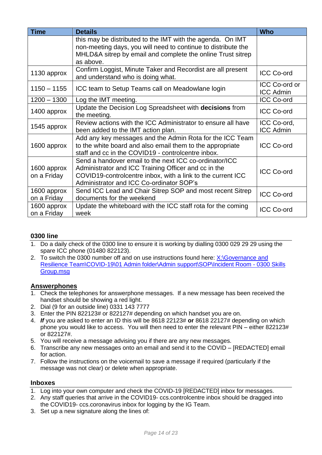| <b>Time</b>   | <b>Details</b>                                                | <b>Who</b>        |  |
|---------------|---------------------------------------------------------------|-------------------|--|
|               | this may be distributed to the IMT with the agenda. On IMT    |                   |  |
|               | non-meeting days, you will need to continue to distribute the |                   |  |
|               | MHLD&A sitrep by email and complete the online Trust sitrep   |                   |  |
|               | as above.                                                     |                   |  |
| 1130 approx   | Confirm Loggist, Minute Taker and Recordist are all present   | <b>ICC Co-ord</b> |  |
|               | and understand who is doing what.                             |                   |  |
| $1150 - 1155$ | ICC team to Setup Teams call on Meadowlane login              | ICC Co-ord or     |  |
|               |                                                               | <b>ICC Admin</b>  |  |
| $1200 - 1300$ | Log the IMT meeting.                                          | <b>ICC Co-ord</b> |  |
| 1400 approx   | Update the Decision Log Spreadsheet with decisions from       | <b>ICC Co-ord</b> |  |
|               | the meeting.                                                  |                   |  |
| 1545 approx   | Review actions with the ICC Administrator to ensure all have  | ICC Co-ord,       |  |
|               | been added to the IMT action plan.                            | <b>ICC Admin</b>  |  |
|               | Add any key messages and the Admin Rota for the ICC Team      |                   |  |
| 1600 approx   | to the white board and also email them to the appropriate     | <b>ICC Co-ord</b> |  |
|               | staff and cc in the COVID19 - controlcentre inbox.            |                   |  |
|               | Send a handover email to the next ICC co-ordinator/ICC        |                   |  |
| 1600 approx   | Administrator and ICC Training Officer and cc in the          | <b>ICC Co-ord</b> |  |
| on a Friday   | COVID19-controlcentre inbox, with a link to the current ICC   |                   |  |
|               | Administrator and ICC Co-ordinator SOP's                      |                   |  |
| 1600 approx   | Send ICC Lead and Chair Sitrep SOP and most recent Sitrep     | <b>ICC Co-ord</b> |  |
| on a Friday   | documents for the weekend                                     |                   |  |
| 1600 approx   | Update the whiteboard with the ICC staff rota for the coming  |                   |  |
| on a Friday   | week                                                          | <b>ICC Co-ord</b> |  |

# **0300 line**

- 1. Do a daily check of the 0300 line to ensure it is working by dialling 0300 029 29 29 using the spare ICC phone (01480 822123).
- 2. To switch the 0300 number off and on use instructions found here: X:\Governance and [Resilience Team\COVID-19\01 Admin folder\Admin support\SOP\Incident Room -](file://///ccs.nhs.uk/CCS_Data/Shared/CCS/Projects/Governance%20and%20Resilience%20Team/COVID-19/01%20Admin%20folder/Admin%20support/SOP/Incident%20Room%20-%200300%20Skills%20Group.msg) 0300 Skills [Group.msg](file://///ccs.nhs.uk/CCS_Data/Shared/CCS/Projects/Governance%20and%20Resilience%20Team/COVID-19/01%20Admin%20folder/Admin%20support/SOP/Incident%20Room%20-%200300%20Skills%20Group.msg)

# **Answerphones**

- 1. Check the telephones for answerphone messages. If a new message has been received the handset should be showing a red light.
- 2. Dial (9 for an outside line) 0331 143 7777
- 3. Enter the PIN 822123# or 822127# depending on which handset you are on.
- 4. *If* you are asked to enter an ID this will be 8618 22123# **or** 8618 22127# depending on which phone you would like to access. You will then need to enter the relevant PIN – either 822123# or 822127#.
- 5. You will receive a message advising you if there are any new messages.
- 6. Transcribe any new messages onto an email and send it to the COVID [REDACTED] email for action.
- 7. Follow the instructions on the voicemail to save a message if required (particularly if the message was not clear) or delete when appropriate.

### **Inboxes**

- 1. Log into your own computer and check the COVID-19 [REDACTED] inbox for messages.
- 2. Any staff queries that arrive in the COVID19- ccs.controlcentre inbox should be dragged into the COVID19- ccs.coronavirus inbox for logging by the IG Team.
- 3. Set up a new signature along the lines of: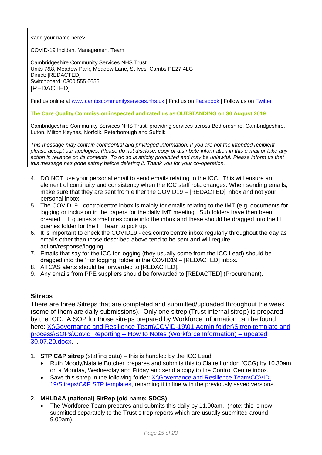<add your name here>

COVID-19 Incident Management Team

Cambridgeshire Community Services NHS Trust Units 7&8, Meadow Park, Meadow Lane, St Ives, Cambs PE27 4LG Direct: [REDACTED] Switchboard: 0300 555 6655 [REDACTED]

Find us online at [www.cambscommunityservices.nhs.uk](http://www.cambscommunityservices.nhs.uk/) | Find us on [Facebook](https://www.facebook.com/CambridgeshireCommunityServicesNHSTrust/) | Follow us on [Twitter](https://twitter.com/ccs_nhst)

#### **The Care Quality Commission inspected and rated us as OUTSTANDING on 30 August 2019**

Cambridgeshire Community Services NHS Trust: providing services across Bedfordshire, Cambridgeshire, Luton, Milton Keynes, Norfolk, Peterborough and Suffolk

*This message may contain confidential and privileged information. If you are not the intended recipient please accept our apologies. Please do not disclose, copy or distribute information in this e-mail or take any action in reliance on its contents. To do so is strictly prohibited and may be unlawful. Please inform us that this message has gone astray before deleting it. Thank you for your co-operation.*

- 4. DO NOT use your personal email to send emails relating to the ICC. This will ensure an element of continuity and consistency when the ICC staff rota changes. When sending emails, make sure that they are sent from either the COVID19 – [REDACTED] inbox and not your personal inbox.
- 5. The COVID19 controlcentre inbox is mainly for emails relating to the IMT (e.g. documents for logging or inclusion in the papers for the daily IMT meeting. Sub folders have then been created. IT queries sometimes come into the inbox and these should be dragged into the IT queries folder for the IT Team to pick up.
- 6. It is important to check the COVID19 ccs.controlcentre inbox regularly throughout the day as emails other than those described above tend to be sent and will require action/response/logging.
- 7. Emails that say for the ICC for logging (they usually come from the ICC Lead) should be dragged into the 'For logging' folder in the COVID19 – [REDACTED] inbox.
- 8. All CAS alerts should be forwarded to [REDACTED].
- 9. Any emails from PPE suppliers should be forwarded to [REDACTED] (Procurement).

#### **Sitreps**

There are three Sitreps that are completed and submitted/uploaded throughout the week (some of them are daily submissions). Only one sitrep (Trust internal sitrep) is prepared by the ICC. A SOP for those sitreps prepared by Workforce Information can be found here: X:\Governance and Resilience Team\COVID-19\01 Admin folder\Sitrep template and process\SOPs\Covid Reporting – [How to Notes \(Workforce Information\) –](file://///ccs.nhs.uk/CCS_Data/Shared/CCS/Projects/Governance%20and%20Resilience%20Team/COVID-19/01%20Admin%20folder/Sitrep%20template%20and%20process/SOPs/Covid%20Reporting%20-%20How%20to%20Notes%20(Workforce%20Information)%20-%20updated%2030.07.20.docx) updated [30.07.20.docx.](file://///ccs.nhs.uk/CCS_Data/Shared/CCS/Projects/Governance%20and%20Resilience%20Team/COVID-19/01%20Admin%20folder/Sitrep%20template%20and%20process/SOPs/Covid%20Reporting%20-%20How%20to%20Notes%20(Workforce%20Information)%20-%20updated%2030.07.20.docx) .

- 1. **STP C&P sitrep** (staffing data) this is handled by the ICC Lead
	- Ruth Moody/Natalie Butcher prepares and submits this to Claire London (CCG) by 10.30am on a Monday, Wednesday and Friday and send a copy to the Control Centre inbox.
	- Save this sitrep in the following folder: [X:\Governance and Resilience Team\COVID-](file://///ccs.nhs.uk/CCS_Data/Shared/CCS/Projects/Governance%20and%20Resilience%20Team/COVID-19/Sitreps/C&P%20STP%20templates)[19\Sitreps\C&P STP templates,](file://///ccs.nhs.uk/CCS_Data/Shared/CCS/Projects/Governance%20and%20Resilience%20Team/COVID-19/Sitreps/C&P%20STP%20templates) renaming it in line with the previously saved versions.

#### 2. **MHLD&A (national) SitRep (old name: SDCS)**

• The Workforce Team prepares and submits this daily by 11.00am. (note: this is now submitted separately to the Trust sitrep reports which are usually submitted around 9.00am).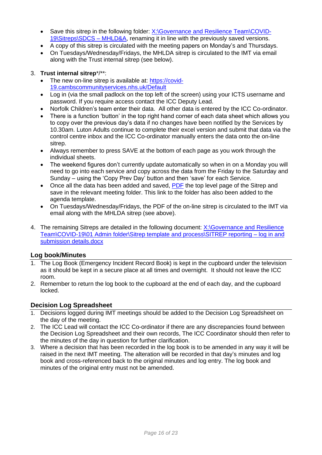- Save this sitrep in the following folder: [X:\Governance and Resilience Team\COVID-](file://///ccs.nhs.uk/CCS_Data/Shared/CCS/Projects/Governance%20and%20Resilience%20Team/COVID-19/Sitreps/SDCS%20-%20MHLD&A)[19\Sitreps\SDCS –](file://///ccs.nhs.uk/CCS_Data/Shared/CCS/Projects/Governance%20and%20Resilience%20Team/COVID-19/Sitreps/SDCS%20-%20MHLD&A) MHLD&A, renaming it in line with the previously saved versions.
- A copy of this sitrep is circulated with the meeting papers on Monday's and Thursdays.
- On Tuesdays/Wednesday/Fridays, the MHLDA sitrep is circulated to the IMT via email along with the Trust internal sitrep (see below).

## 3. **Trust internal sitrep**\*/\*\*:

- The new on-line sitrep is available at: [https://covid-](https://covid-19.cambscommunityservices.nhs.uk/Default)[19.cambscommunityservices.nhs.uk/Default](https://covid-19.cambscommunityservices.nhs.uk/Default)
- Log in (via the small padlock on the top left of the screen) using your ICTS username and password. If you require access contact the ICC Deputy Lead.
- Norfolk Children's team enter their data. All other data is entered by the ICC Co-ordinator.
- There is a function 'button' in the top right hand corner of each data sheet which allows you to copy over the previous day's data if no changes have been notified by the Services by 10.30am. Luton Adults continue to complete their excel version and submit that data via the control centre inbox and the ICC Co-ordinator manually enters the data onto the on-line sitrep.
- Always remember to press SAVE at the bottom of each page as you work through the individual sheets.
- The weekend figures don't currently update automatically so when in on a Monday you will need to go into each service and copy across the data from the Friday to the Saturday and Sunday – using the 'Copy Prev Day' button and then 'save' for each Service.
- Once all the data has been added and saved, [PDF](file:///C:/Users/djowett/Local%20Settings/Temporary%20Internet%20Files/Content.Outlook/4XFXDJGY/PDF) the top level page of the Sitrep and save in the relevant meeting folder. This link to the folder has also been added to the agenda template.
- On Tuesdays/Wednesday/Fridays, the PDF of the on-line sitrep is circulated to the IMT via email along with the MHLDA sitrep (see above).
- 4. The remaining Sitreps are detailed in the following document: [X:\Governance and](file://///ccs.nhs.uk/CCS_Data/Shared/CCS/Projects/Governance%20and%20Resilience%20Team/COVID-19/01%20Admin%20folder/Sitrep%20template%20and%20process/SITREP%20reporting%20-%20log%20in%20and%20submission%20details.docx) Resilience [Team\COVID-19\01 Admin folder\Sitrep template and process\SITREP reporting –](file://///ccs.nhs.uk/CCS_Data/Shared/CCS/Projects/Governance%20and%20Resilience%20Team/COVID-19/01%20Admin%20folder/Sitrep%20template%20and%20process/SITREP%20reporting%20-%20log%20in%20and%20submission%20details.docx) log in and [submission details.docx](file://///ccs.nhs.uk/CCS_Data/Shared/CCS/Projects/Governance%20and%20Resilience%20Team/COVID-19/01%20Admin%20folder/Sitrep%20template%20and%20process/SITREP%20reporting%20-%20log%20in%20and%20submission%20details.docx)

# **Log book/Minutes**

- 1. The Log Book (Emergency Incident Record Book) is kept in the cupboard under the television as it should be kept in a secure place at all times and overnight. It should not leave the ICC room.
- 2. Remember to return the log book to the cupboard at the end of each day, and the cupboard locked.

# **Decision Log Spreadsheet**

- 1. Decisions logged during IMT meetings should be added to the Decision Log Spreadsheet on the day of the meeting.
- 2. The ICC Lead will contact the ICC Co-ordinator if there are any discrepancies found between the Decision Log Spreadsheet and their own records, The ICC Coordinator should then refer to the minutes of the day in question for further clarification.
- 3. Where a decision that has been recorded in the log book is to be amended in any way it will be raised in the next IMT meeting. The alteration will be recorded in that day's minutes and log book and cross-referenced back to the original minutes and log entry. The log book and minutes of the original entry must not be amended.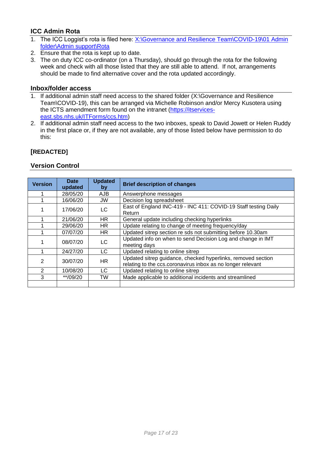# **ICC Admin Rota**

- 1. The ICC Loggist's rota is filed here: [X:\Governance and Resilience Team\COVID-19\01 Admin](file://///ccs.nhs.uk/CCS_Data/Shared/CCS/Projects/Governance%20and%20Resilience%20Team/COVID-19/01%20Admin%20folder/Admin%20support/Rota)  [folder\Admin support\Rota](file://///ccs.nhs.uk/CCS_Data/Shared/CCS/Projects/Governance%20and%20Resilience%20Team/COVID-19/01%20Admin%20folder/Admin%20support/Rota)
- 2. Ensure that the rota is kept up to date.
- 3. The on duty ICC co-ordinator (on a Thursday), should go through the rota for the following week and check with all those listed that they are still able to attend. If not, arrangements should be made to find alternative cover and the rota updated accordingly.

### **Inbox/folder access**

- 1. If additional admin staff need access to the shared folder (X:\Governance and Resilience Team\COVID-19), this can be arranged via Michelle Robinson and/or Mercy Kusotera using the ICTS amendment form found on the intranet [\(https://itservices](https://itservices-east.sbs.nhs.uk/ITForms/ccs.htm)[east.sbs.nhs.uk/ITForms/ccs.htm\)](https://itservices-east.sbs.nhs.uk/ITForms/ccs.htm)
- 2. If additional admin staff need access to the two inboxes, speak to David Jowett or Helen Ruddy in the first place or, if they are not available, any of those listed below have permission to do this:

## **[REDACTED]**

# **Version Control**

| <b>Version</b> | <b>Date</b><br>updated | <b>Updated</b><br>by | <b>Brief description of changes</b>                                                                                         |
|----------------|------------------------|----------------------|-----------------------------------------------------------------------------------------------------------------------------|
|                | 28/05/20               | <b>AJB</b>           | Answerphone messages                                                                                                        |
|                | 16/06/20               | <b>JW</b>            | Decision log spreadsheet                                                                                                    |
|                | 17/06/20               | LC                   | East of England INC-419 - INC 411: COVID-19 Staff testing Daily<br>Return                                                   |
|                | 21/06/20               | <b>HR</b>            | General update including checking hyperlinks                                                                                |
|                | 29/06/20               | HR.                  | Update relating to change of meeting frequency/day                                                                          |
|                | 07/07/20               | HR.                  | Updated sitrep section re sds not submitting before 10.30am                                                                 |
|                | 08/07/20               | LC.                  | Updated info on when to send Decision Log and change in IMT<br>meeting days                                                 |
|                | 24/27/20               | LC                   | Updated relating to online sitrep                                                                                           |
| $\mathcal{P}$  | 30/07/20               | HR.                  | Updated sitrep guidance, checked hyperlinks, removed section<br>relating to the ccs.coronavirus inbox as no longer relevant |
| 2              | 10/08/20               | LC.                  | Updated relating to online sitrep                                                                                           |
| 3              | **/09/20               | TW                   | Made applicable to additional incidents and streamlined                                                                     |
|                |                        |                      |                                                                                                                             |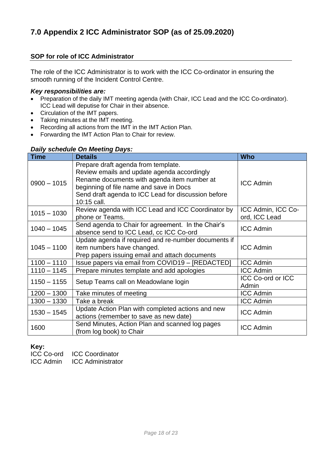# **SOP for role of ICC Administrator**

The role of the ICC Administrator is to work with the ICC Co-ordinator in ensuring the smooth running of the Incident Control Centre.

### *Key responsibilities are:*

- Preparation of the daily IMT meeting agenda (with Chair, ICC Lead and the ICC Co-ordinator). ICC Lead will deputise for Chair in their absence.
- Circulation of the IMT papers.
- Taking minutes at the IMT meeting.
- Recording all actions from the IMT in the IMT Action Plan.
- Forwarding the IMT Action Plan to Chair for review.

# *Daily schedule On Meeting Days:*

| <b>Time</b>   | <b>Details</b>                                                                                                                                                                                                                                     | <b>Who</b>                          |
|---------------|----------------------------------------------------------------------------------------------------------------------------------------------------------------------------------------------------------------------------------------------------|-------------------------------------|
| $0900 - 1015$ | Prepare draft agenda from template.<br>Review emails and update agenda accordingly<br>Rename documents with agenda item number at<br>beginning of file name and save in Docs<br>Send draft agenda to ICC Lead for discussion before<br>10:15 call. | <b>ICC Admin</b>                    |
| $1015 - 1030$ | Review agenda with ICC Lead and ICC Coordinator by<br>phone or Teams.                                                                                                                                                                              | ICC Admin, ICC Co-<br>ord, ICC Lead |
| $1040 - 1045$ | Send agenda to Chair for agreement. In the Chair's<br>absence send to ICC Lead, cc ICC Co-ord                                                                                                                                                      | <b>ICC Admin</b>                    |
| $1045 - 1100$ | Update agenda if required and re-number documents if<br>item numbers have changed.<br>Prep papers issuing email and attach documents                                                                                                               | <b>ICC Admin</b>                    |
| $1100 - 1110$ | Issue papers via email from COVID19 - [REDACTED]                                                                                                                                                                                                   | <b>ICC Admin</b>                    |
| $1110 - 1145$ | Prepare minutes template and add apologies                                                                                                                                                                                                         | <b>ICC Admin</b>                    |
| $1150 - 1155$ | Setup Teams call on Meadowlane login                                                                                                                                                                                                               | <b>ICC Co-ord or ICC</b><br>Admin   |
| $1200 - 1300$ | Take minutes of meeting                                                                                                                                                                                                                            | <b>ICC Admin</b>                    |
| $1300 - 1330$ | Take a break                                                                                                                                                                                                                                       | <b>ICC Admin</b>                    |
| $1530 - 1545$ | Update Action Plan with completed actions and new<br>actions (remember to save as new date)                                                                                                                                                        | <b>ICC Admin</b>                    |
| 1600          | Send Minutes, Action Plan and scanned log pages<br>(from log book) to Chair                                                                                                                                                                        | <b>ICC Admin</b>                    |

#### **Key:**

ICC Co-ord ICC Coordinator ICC Admin ICC Administrator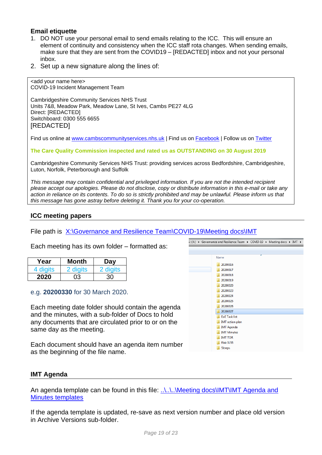# **Email etiquette**

<add your name here>

- 1. DO NOT use your personal email to send emails relating to the ICC. This will ensure an element of continuity and consistency when the ICC staff rota changes. When sending emails, make sure that they are sent from the COVID19 – [REDACTED] inbox and not your personal inbox.
- 2. Set up a new signature along the lines of:

COVID-19 Incident Management Team Cambridgeshire Community Services NHS Trust Units 7&8, Meadow Park, Meadow Lane, St Ives, Cambs PE27 4LG Direct: [REDACTED] Switchboard: 0300 555 6655 [REDACTED]

Find us online at [www.cambscommunityservices.nhs.uk](http://www.cambscommunityservices.nhs.uk/) | Find us on [Facebook](https://www.facebook.com/CambridgeshireCommunityServicesNHSTrust/) | Follow us on [Twitter](https://twitter.com/ccs_nhst)

**The Care Quality Commission inspected and rated us as OUTSTANDING on 30 August 2019**

Cambridgeshire Community Services NHS Trust: providing services across Bedfordshire, Cambridgeshire, Luton, Norfolk, Peterborough and Suffolk

*This message may contain confidential and privileged information. If you are not the intended recipient please accept our apologies. Please do not disclose, copy or distribute information in this e-mail or take any action in reliance on its contents. To do so is strictly prohibited and may be unlawful. Please inform us that this message has gone astray before deleting it. Thank you for your co-operation.*

# **ICC meeting papers**

File path is X:\Governance [and Resilience Team\COVID-19\Meeting docs\IMT](file://///ccs.nhs.uk/CCS_Data/Shared/CCS/Projects/Governance%20and%20Resilience%20Team/COVID-19/Meeting%20docs/IMT)

Each meeting has its own folder – formatted as:

| Year     | Month    | Day      |
|----------|----------|----------|
| 4 digits | 2 digits | 2 digits |
| 2020     | በ3       | 30       |

e.g. **20200330** for 30 March 2020.

Each meeting date folder should contain the agenda and the minutes, with a sub-folder of Docs to hold any documents that are circulated prior to or on the same day as the meeting.

Each document should have an agenda item number as the beginning of the file name.



# **IMT Agenda**

An agenda template can be found in this file: ..\..\..\Meeting docs\IMT\IMT Agenda and **[Minutes templates](file://///storeeasy-p01.icts.nhs.uk/CCS/Projects/Governance%20and%20Resilience%20Team/COVID-19/Meeting%20docs/IMT/IMT%20Agenda%20and%20Minutes%20templates)** 

If the agenda template is updated, re-save as next version number and place old version in Archive Versions sub-folder.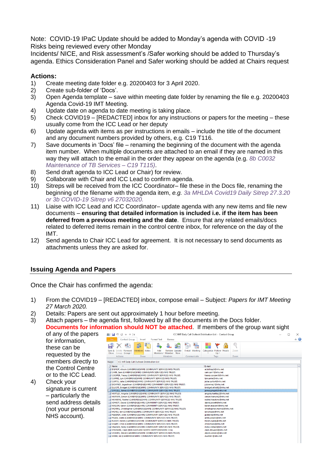Note: COVID-19 IPaC Update should be added to Monday's agenda with COVID -19 Risks being reviewed every other Monday

Incidents/ NICE, and Risk assessment's /Safer working should be added to Thursday's agenda. Ethics Consideration Panel and Safer working should be added at Chairs request

# **Actions:**

- 1) Create meeting date folder e.g. 20200403 for 3 April 2020.
- 2) Create sub-folder of 'Docs'.
- 3) Open Agenda template save within meeting date folder by renaming the file e.g. 20200403 Agenda Covid-19 IMT Meeting.
- 4) Update date on agenda to date meeting is taking place.
- 5) Check COVID19 [REDACTED] inbox for any instructions or papers for the meeting these usually come from the ICC Lead or her deputy
- 6) Update agenda with items as per instructions in emails include the title of the document and any document numbers provided by others, e.g. C19 T116.
- 7) Save documents in 'Docs' file renaming the beginning of the document with the agenda item number. When multiple documents are attached to an email if they are named in this way they will attach to the email in the order they appear on the agenda (e.g. *8b C0032 Maintenance of TB Services – C19 T115)*.
- 8) Send draft agenda to ICC Lead or Chair) for review.
- 9) Collaborate with Chair and ICC Lead to confirm agenda.
- 10) Sitreps will be received from the ICC Coordinator– file these in the Docs file, renaming the beginning of the filename with the agenda item, *e.g. 3a MHLDA Covid19 Daily Sitrep 27.3.20 or 3b COVID-19 Sitrep v6 27032020.*
- 11) Liaise with ICC Lead and ICC Coordinator– update agenda with any new items and file new documents – **ensuring that detailed information is included i.e. if the item has been deferred from a previous meeting and the date**. Ensure that any related emails/docs related to deferred items remain in the control centre inbox, for reference on the day of the IMT.
- 12) Send agenda to Chair ICC Lead for agreement. It is not necessary to send documents as attachments unless they are asked for.

# **Issuing Agenda and Papers**

Once the Chair has confirmed the agenda:

- 1) From the COVID19 [REDACTED] inbox, compose email Subject: *Papers for IMT Meeting 27 March 2020.*
- 2) Details: Papers are sent out approximately 1 hour before meeting.
- 3) Attach papers the agenda first, followed by all the documents in the Docs folder. **Documents for information should NOT be attached**. If members of the group want sight

of any of the papers for information, these can be requested by the members directly to the Control Centre or to the ICC Lead.

4) Check your signature is current – particularly the send address details (not your personal NHS account).

|                 | $\Psi$ $\phi$<br>v<br>今                                                |                                                     |             |                                              |                | ICC IMT Daily Call Outlook Distribution List - Contact Group |      | п | ×               |
|-----------------|------------------------------------------------------------------------|-----------------------------------------------------|-------------|----------------------------------------------|----------------|--------------------------------------------------------------|------|---|-----------------|
|                 | Contact Group                                                          | Insert                                              | Format Text | Review                                       |                |                                                              |      |   | $\circ$ $\circ$ |
|                 |                                                                        | ಳ                                                   |             |                                              | 85<br>ma i     |                                                              |      |   |                 |
| Save &<br>Close | Delete Forward<br>Group Group -                                        | Members Notes                                       | Add         | <b>Remove Update</b><br>Members * Member Now | E-mail Meeting | Categorize Follow Private<br>Up -                            | Zoom |   |                 |
|                 | <b>Actions</b>                                                         | Show                                                |             | <b>Members</b>                               | Communicate    | Tags                                                         | Zoom |   |                 |
| Name:           |                                                                        | <b>ICC IMT Daily Call Outlook Distribution List</b> |             |                                              |                |                                                              |      |   |                 |
| <b>Name</b>     | ▲                                                                      |                                                     |             |                                              |                | E-mail                                                       |      |   | ᇫ               |
|                 | <b>EL BISHOP, Alison (CAMBRIDGESHIRE COMMUNITY SERVICES NHS TRUST)</b> |                                                     |             |                                              |                | a.bishop3@nhs.net                                            |      |   |                 |
|                 | CARR, Sam (CAMBRIDGESHIRE COMMUNITY SERVICES NHS TRUST)                |                                                     |             |                                              |                | sam.carr1@nhs.net                                            |      |   |                 |
|                 | COOPER, Tracey (CAMBRIDGESHIRE COMMUNITY SERVICES NHS TRUST)           |                                                     |             |                                              |                | tracey.cooper3@nhs.net                                       |      |   |                 |
|                 | CURRIE, Lyn (CAMBRIDGESHIRE COMMUNITY SERVICES NHS TRUST)              |                                                     |             |                                              |                | Ivncurrie@nhs.net                                            |      |   |                 |
|                 | CURTIS, Julia (CAMBRIDGESHIRE COMMUNITY SERVICES NHS TRUST)            |                                                     |             |                                              |                | julia.curtis4@nhs.net                                        |      |   |                 |
|                 | DOWNEY, Jogeshvari (CAMBRIDGESHIRE COMMUNITY SERVICES NHS TRUST)       |                                                     |             |                                              |                | j.downey1@nhs.net                                            |      |   |                 |
|                 | <b>ELLIOTT, Bridget (CAMBRIDGESHIRE COMMUNITY SERVICES NHS TRUST)</b>  |                                                     |             |                                              |                | bridget.elliott2@nhs.net                                     |      |   |                 |
|                 | GINGELL, James (CAMBRIDGESHIRE COMMUNITY SERVICES NHS TRUST)           |                                                     |             |                                              |                | iamesgingell@nhs.net                                         |      |   |                 |
|                 | HARTLEY, Angela (CAMBRIDGESHIRE COMMUNITY SERVICES NHS TRUST)          |                                                     |             |                                              |                | angela.hartley2@nhs.net                                      |      |   |                 |
|                 | HARWIN, Simon (CAMBRIDGESHIRE COMMUNITY SERVICES NHS TRUST)            |                                                     |             |                                              |                | simon.harwin2@nhs.net                                        |      |   |                 |
|                 | HAWKINS, Rachel (CAMBRIDGESHIRE COMMUNITY SERVICES NHS TRUST)          |                                                     |             |                                              |                | rachel.hawkins@nhs.net                                       |      |   |                 |
|                 | TH JOWETT, David (CAMBRIDGESHIRE COMMUNITY SERVICES NHS TRUST)         |                                                     |             |                                              |                | david.jowett@nhs.net                                         |      |   |                 |
|                 | MASON, Karen (CAMBRIDGESHIRE COMMUNITY SERVICES NHS TRUST)             |                                                     |             |                                              |                | karen.mason4@nhs.net                                         |      |   |                 |
|                 | MORRIS, Christopher (CAMBRIDGESHIRE COMMUNITY SERVICES NHS TRUST)      |                                                     |             |                                              |                | christopher.morris8@nhs.net                                  |      |   |                 |
|                 | MOYES, Ian (CAMBRIDGESHIRE COMMUNITY SERVICES NHS TRUST)               |                                                     |             |                                              |                | ian.moyes@nhs.net                                            |      |   |                 |
|                 | THE PEBERDY, John (CAMBRIDGESHIRE COMMUNITY SERVICES NHS TRUST)        |                                                     |             |                                              |                | jpeberdy@nhs.net                                             |      |   |                 |
|                 | PISANI, Anita (CAMBRIDGESHIRE COMMUNITY SERVICES NHS TRUST)            |                                                     |             |                                              |                | anita.pisani@nhs.net                                         |      |   |                 |
|                 | RUDDY, Helen (CAMBRIDGESHIRE COMMUNITY SERVICES NHS TRUST)             |                                                     |             |                                              |                | helen.ruddy@nhs.net                                          |      |   |                 |
|                 | SHARP, Chris (CAMBRIDGESHIRE COMMUNITY SERVICES NHS TRUST)             |                                                     |             |                                              |                | chrissharp@nhs.net                                           |      |   |                 |
|                 | SRAHAN, Nicky (CAMBRIDGESHIRE COMMUNITY SERVICES NHS TRUST)            |                                                     |             |                                              |                | nicky.srahan@nhs.net                                         |      |   |                 |
|                 | STEWARD, Clare (NHS EAST AND NORTH HERTFORDSHIRE CCG)                  |                                                     |             |                                              |                | clare.steward@nhs.net                                        |      |   |                 |
|                 | VICKERS, David (CAMBRIDGESHIRE COMMUNITY SERVICES NHS TRUST)           |                                                     |             |                                              |                | david.vickers@nhs.net                                        |      |   |                 |
|                 | WEBB, Liz (CAMBRIDGESHIRE COMMUNITY SERVICES NHS TRUST)                |                                                     |             |                                              |                | ewebb1@nhs.net                                               |      |   |                 |
|                 |                                                                        |                                                     |             |                                              |                |                                                              |      |   |                 |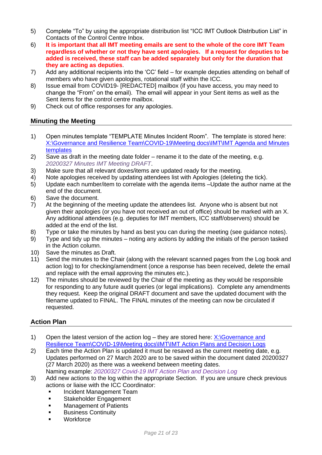- 5) Complete "To" by using the appropriate distribution list "ICC IMT Outlook Distribution List" in Contacts of the Control Centre Inbox.
- 6) **It is important that all IMT meeting emails are sent to the whole of the core IMT Team regardless of whether or not they have sent apologies. If a request for deputies to be added is received, these staff can be added separately but only for the duration that they are acting as deputies**.
- 7) Add any additional recipients into the 'CC' field for example deputies attending on behalf of members who have given apologies, rotational staff within the ICC.
- 8) Issue email from COVID19- [REDACTED] mailbox (if you have access, you may need to change the "From" on the email). The email will appear in your Sent items as well as the Sent items for the control centre mailbox.
- 9) Check out of office responses for any apologies.

# **Minuting the Meeting**

- 1) Open minutes template "TEMPLATE Minutes Incident Room". The template is stored here: [X:\Governance and Resilience Team\COVID-19\Meeting docs\IMT\IMT Agenda and Minutes](file://///ccs.nhs.uk/CCS_Data/Shared/CCS/Projects/Governance%20and%20Resilience%20Team/COVID-19/Meeting%20docs/IMT/IMT%20Agenda%20and%20Minutes%20templates)  [templates](file://///ccs.nhs.uk/CCS_Data/Shared/CCS/Projects/Governance%20and%20Resilience%20Team/COVID-19/Meeting%20docs/IMT/IMT%20Agenda%20and%20Minutes%20templates)
- 2) Save as draft in the meeting date folder rename it to the date of the meeting, e.g. *20200327 Minutes IMT Meeting DRAFT*.
- 3) Make sure that all relevant doxes/items are updated ready for the meeting.
- 4) Note apologies received by updating attendees list with Apologies (deleting the tick).
- 5) Update each number/item to correlate with the agenda items –Update the author name at the end of the document.
- 6) Save the document.
- 7) At the beginning of the meeting update the attendees list. Anyone who is absent but not given their apologies (or you have not received an out of office) should be marked with an X. Any additional attendees (e.g. deputies for IMT members, ICC staff/observers) should be added at the end of the list.
- 8) Type or take the minutes by hand as best you can during the meeting (see guidance notes).
- 9) Type and tidy up the minutes noting any actions by adding the initials of the person tasked in the Action column.
- 10) Save the minutes as Draft.
- 11) Send the minutes to the Chair (along with the relevant scanned pages from the Log book and action log) to for checking/amendment (once a response has been received, delete the email and replace with the email approving the minutes etc.).
- 12) The minutes should be reviewed by the Chair of the meeting as they would be responsible for responding to any future audit queries (or legal implications). Complete any amendments they request. Keep the original DRAFT document and save the updated document with the filename updated to FINAL. The FINAL minutes of the meeting can now be circulated if requested.

# **Action Plan**

- 1) Open the latest version of the action  $log -$  they are stored here:  $X:\G$  overnance and [Resilience Team\COVID-19\Meeting docs\IMT\IMT Action Plans and Decision Logs](file://///ccs.nhs.uk/CCS_Data/Shared/CCS/Projects/Governance%20and%20Resilience%20Team/COVID-19/Meeting%20docs/IMT/IMT%20Action%20Plans%20and%20Decision%20Logs)
- 2) Each time the Action Plan is updated it must be resaved as the current meeting date, e.g. Updates performed on 27 March 2020 are to be saved within the document dated 20200327 (27 March 2020) as there was a weekend between meeting dates. Naming example: *20200327 Covid-19 IMT Action Plan and Decision Log*
- 3) Add new actions to the log within the appropriate Section. If you are unsure check previous actions or liaise with the ICC Coordinator:
	- Incident Management Team
	- **■** Stakeholder Engagement
	- **■** Management of Patients
	- **Business Continuity**
	- Workforce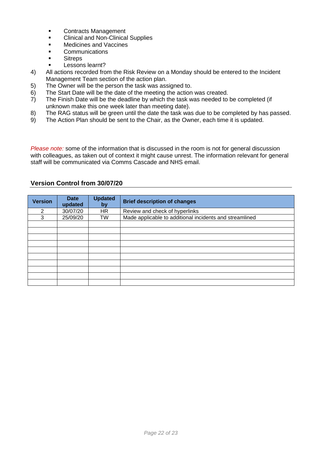- Contracts Management
- Clinical and Non-Clinical Supplies
- Medicines and Vaccines
- Communications
- Sitreps
- Lessons learnt?
- 4) All actions recorded from the Risk Review on a Monday should be entered to the Incident Management Team section of the action plan.
- 5) The Owner will be the person the task was assigned to.
- 6) The Start Date will be the date of the meeting the action was created.
- 7) The Finish Date will be the deadline by which the task was needed to be completed (if unknown make this one week later than meeting date).
- 8) The RAG status will be green until the date the task was due to be completed by has passed.
- 9) The Action Plan should be sent to the Chair, as the Owner, each time it is updated.

*Please note:* some of the information that is discussed in the room is not for general discussion with colleagues, as taken out of context it might cause unrest. The information relevant for general staff will be communicated via Comms Cascade and NHS email.

# **Version Control from 30/07/20**

| <b>Version</b> | <b>Date</b><br>updated | <b>Updated</b><br>by | <b>Brief description of changes</b>                     |
|----------------|------------------------|----------------------|---------------------------------------------------------|
| 2              | 30/07/20               | HR                   | Review and check of hyperlinks                          |
| 3              | 25/09/20               | TW                   | Made applicable to additional incidents and streamlined |
|                |                        |                      |                                                         |
|                |                        |                      |                                                         |
|                |                        |                      |                                                         |
|                |                        |                      |                                                         |
|                |                        |                      |                                                         |
|                |                        |                      |                                                         |
|                |                        |                      |                                                         |
|                |                        |                      |                                                         |
|                |                        |                      |                                                         |
|                |                        |                      |                                                         |